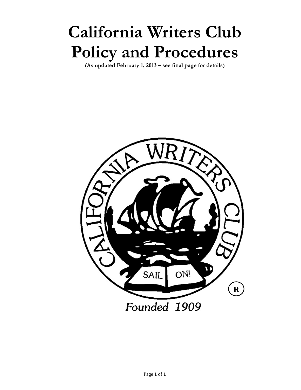# **California Writers Club Policy and Procedures**

**(As updated February 1, 2013 – see final page for details)** 

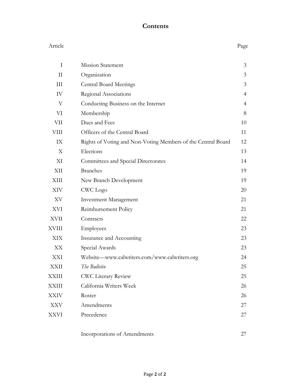## **Contents**

| Article      |                                                              | Page           |
|--------------|--------------------------------------------------------------|----------------|
| $\mathbf I$  | <b>Mission Statement</b>                                     | 3              |
| $\mathbf{I}$ | Organization                                                 | 3              |
| III          | <b>Central Board Meetings</b>                                | 3              |
| IV           | Regional Associations                                        | $\overline{4}$ |
| V            | Conducting Business on the Internet                          | 4              |
| VI           | Membership                                                   | 8              |
| VII          | Dues and Fees                                                | 10             |
| VIII         | Officers of the Central Board                                | 11             |
| IX           | Rights of Voting and Non-Voting Members of the Central Board | 12             |
| X            | Elections                                                    | 13             |
| XI           | Committees and Special Directorates                          | 14             |
| XII          | <b>Branches</b>                                              | 19             |
| XIII         | New Branch Development                                       | 19             |
| XIV          | CWC Logo                                                     | 20             |
| XV           | <b>Investment Management</b>                                 | 21             |
| XVI          | Reimbursement Policy                                         | 21             |
| <b>XVII</b>  | Contracts                                                    | 22             |
| XVIII        | Employees                                                    | 23             |
| XIX          | Insurance and Accounting                                     | 23             |
| XX           | Special Awards                                               | 23             |
| XXI          | Website-www.calwriters.com/www.calwriters.org                | 24             |
| XXII         | The Bulletin                                                 | 25             |
| <b>XXIII</b> | <b>CWC Literary Review</b>                                   | 25             |
| <b>XXIII</b> | California Writers Week                                      | 26             |
| XXIV         | Roster                                                       | 26             |
| XXV          | Amendments                                                   | 27             |
| XXVI         | Precedence                                                   | 27             |
|              | Incorporations of Amendments                                 | 27             |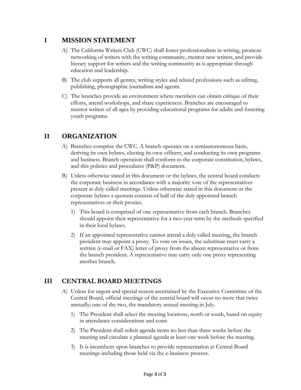## **I MISSION STATEMENT**

- A) The California Writers Club (CWC) shall foster professionalism in writing, promote networking of writers with the writing community, mentor new writers, and provide literary support for writers and the writing community as is appropriate through education and leadership.
- B) The club supports all genres, writing styles and related professions such as editing, publishing, photographic journalism and agents.
- C) The branches provide an environment where members can obtain critique of their efforts, attend workshops, and share experiences. Branches are encouraged to mentor writers of all ages by providing educational programs for adults and fostering youth programs.

# **II ORGANIZATION**

- A) Branches comprise the CWC. A branch operates on a semiautonomous basis, deriving its own bylaws, electing its own officers, and conducting its own programs and business. Branch operation shall conform to the corporate constitution, bylaws, and this policies and procedures (P&P) document.
- B) Unless otherwise stated in this document or the bylaws, the central board conducts the corporate business in accordance with a majority vote of the representatives present at duly called meetings. Unless otherwise stated in this document or the corporate bylaws a quorum consists of half of the duly appointed branch representatives or their proxies.
	- 1) This board is comprised of one representative from each branch. Branches should appoint their representative for a two-year term by the methods specified in their local bylaws.
	- 2) If an appointed representative cannot attend a duly called meeting, the branch president may appoint a proxy. To vote on issues, the substitute must carry a written (e-mail or FAX) letter of proxy from the absent representative or from the branch president. A representative may carry only one proxy representing another branch.

# **III CENTRAL BOARD MEETINGS**

- A) Unless for urgent and special reason ascertained by the Executive Committee of the Central Board, official meetings of the central board will occur no more that twice annually; one of the two, the mandatory annual meeting in July.
	- 1) The President shall select the meeting locations, north or south, based on equity in attendance considerations and costs
	- 2) The President shall solicit agenda items no less than three weeks before the meeting and circulate a planned agenda at least one week before the meeting.
	- 3) It is incumbent upon branches to provide representation at Central Board meetings including those held via the e-business process.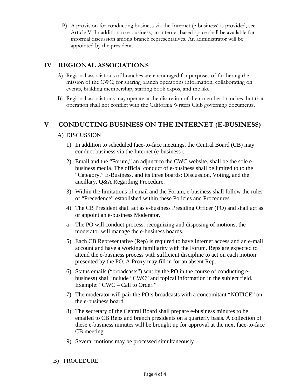B) A provision for conducting business via the Internet (e-business) is provided, see Article V. In addition to e-business, an internet-based space shall be available for informal discussion among branch representatives. An administrator will be appointed by the president.

## **IV REGIONAL ASSOCIATIONS**

- A) Regional associations of branches are encouraged for purposes of furthering the mission of the CWC; for sharing branch operations information, collaborating on events, building membership, staffing book expos, and the like.
- B) Regional associations may operate at the discretion of their member branches, but that operation shall not conflict with the California Writers Club governing documents.

## **V CONDUCTING BUSINESS ON THE INTERNET (E-BUSINESS)**

#### A) DISCUSSION

- 1) In addition to scheduled face-to-face meetings, the Central Board (CB) may conduct business via the Internet (e-business).
- 2) Email and the "Forum," an adjunct to the CWC website, shall be the sole ebusiness media. The official conduct of e-business shall be limited to to the "Category," E-Business, and its three boards: Discussion, Voting, and the ancillary, Q&A Regarding Procedure.
- 3) Within the limitations of email and the Forum, e-business shall follow the rules of "Precedence" established within these Policies and Procedures.
- 4) The CB President shall act as e-business Presiding Officer (PO) and shall act as or appoint an e-business Moderator.
- a The PO will conduct process: recognizing and disposing of motions; the moderator will manage the e-business boards.
- 5) Each CB Representative (Rep) is required to have Internet access and an e-mail account and have a working familiarity with the Forum. Reps are expected to attend the e-business process with sufficient discipline to act on each motion presented by the PO. A Proxy may fill in for an absent Rep.
- 6) Status emails ("broadcasts") sent by the PO in the course of conducting ebusiness) shall include "CWC" and topical information in the subject field. Example: "CWC – Call to Order."
- 7) The moderator will pair the PO's broadcasts with a concomitant "NOTICE" on the e-business board.
- 8) The secretary of the Central Board shall prepare e-business minutes to be emailed to CB Reps and branch presidents on a quarterly basis. A collection of these e-business minutes will be brought up for approval at the next face-to-face CB meeting.
- 9) Several motions may be processed simultaneously.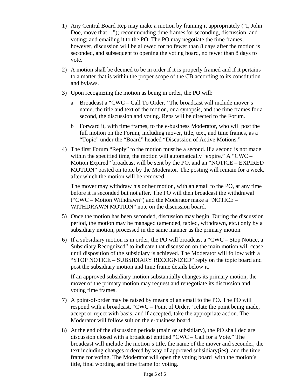- 1) Any Central Board Rep may make a motion by framing it appropriately ("I, John Doe, move that..."); recommending time frames for seconding, discussion, and voting; and emailing it to the PO. The PO may negotiate the time frames; however, discussion will be allowed for no fewer than 8 days after the motion is seconded, and subsequent to opening the voting board, no fewer than 8 days to vote.
- 2) A motion shall be deemed to be in order if it is properly framed and if it pertains to a matter that is within the proper scope of the CB according to its constitution and bylaws.
- 3) Upon recognizing the motion as being in order, the PO will:
	- a Broadcast a "CWC Call To Order." The broadcast will include mover's name, the title and text of the motion, or a synopsis, and the time frames for a second, the discussion and voting. Reps will be directed to the Forum.
	- b Forward it, with time frames, to the e-business Moderator, who will post the full motion on the Forum, including mover, title, text, and time frames, as a "Topic" under the "Board" headed "Discussion of Active Motions."
- 4) The first Forum "Reply" to the motion must be a second. If a second is not made within the specified time, the motion will automatically "expire." A "CWC – Motion Expired" broadcast will be sent by the PO, and an "NOTICE – EXPIRED MOTION" posted on topic by the Moderator. The posting will remain for a week, after which the motion will be removed.

The mover may withdraw his or her motion, with an email to the PO, at any time before it is seconded but not after. The PO will then broadcast the withdrawal ("CWC – Motion Withdrawn") and the Moderator make a "NOTICE – WITHDRAWN MOTION" note on the discussion board.

- 5) Once the motion has been seconded, discussion may begin. During the discussion period, the motion may be managed (amended, tabled, withdrawn, etc.) only by a subsidiary motion, processed in the same manner as the primary motion.
- 6) If a subsidiary motion is in order, the PO will broadcast a "CWC Stop Notice, a Subsidiary Recognized" to indicate that discussion on the main motion will cease until disposition of the subsidiary is achieved. The Moderator will follow with a "STOP NOTICE – SUBSIDIARY RECOGNIZED" reply on the topic board and post the subsidiary motion and time frame details below it.

If an approved subsidiary motion substantially changes its primary motion, the mover of the primary motion may request and renegotiate its discussion and voting time frames.

- 7) A point-of-order may be raised by means of an email to the PO. The PO will respond with a broadcast, "CWC – Point of Order," relate the point being made, accept or reject with basis, and if accepted, take the appropriate action. The Moderator will follow suit on the e-business board.
- 8) At the end of the discussion periods (main or subsidiary), the PO shall declare discussion closed with a broadcast entitled "CWC – Call for a Vote." The broadcast will include the motion's title, the name of the mover and seconder, the text including changes ordered by way of approved subsidiary(ies), and the time frame for voting. The Moderator will open the voting board with the motion's title, final wording and time frame for voting.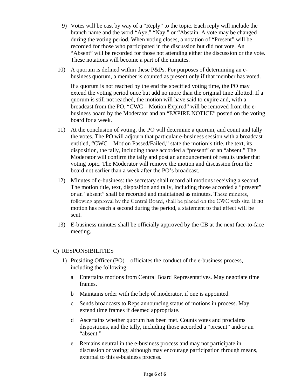- 9) Votes will be cast by way of a "Reply" to the topic. Each reply will include the branch name and the word "Aye," "Nay," or "Abstain. A vote may be changed during the voting period. When voting closes, a notation of "Present" will be recorded for those who participated in the discussion but did not vote. An "Absent" will be recorded for those not attending either the discussion or the vote. These notations will become a part of the minutes.
- 10) A quorum is defined within these P&Ps. For purposes of determining an ebusiness quorum, a member is counted as present only if that member has voted.

If a quorum is not reached by the end the specified voting time, the PO may extend the voting period once but add no more than the original time allotted. If a quorum is still not reached, the motion will have said to expire and, with a broadcast from the PO, "CWC – Motion Expired" will be removed from the ebusiness board by the Moderator and an "EXPIRE NOTICE" posted on the voting board for a week.

- 11) At the conclusion of voting, the PO will determine a quorum, and count and tally the votes. The PO will adjourn that particular e-business session with a broadcast entitled, "CWC – Motion Passed/Failed," state the motion's title, the text, its disposition, the tally, including those accorded a "present" or an "absent." The Moderator will confirm the tally and post an announcement of results under that voting topic. The Moderator will remove the motion and discussion from the board not earlier than a week after the PO's broadcast.
- 12) Minutes of e-business: the secretary shall record all motions receiving a second. The motion title, text, disposition and tally, including those accorded a "present" or an "absent" shall be recorded and maintained as minutes. These minutes, following approval by the Central Board, shall be placed on the CWC web site. If no motion has reach a second during the period, a statement to that effect will be sent.
- 13) E-business minutes shall be officially approved by the CB at the next face-to-face meeting.

#### C) RESPONSIBILITIES

- 1) Presiding Officer (PO) officiates the conduct of the e-business process, including the following:
	- a Entertains motions from Central Board Representatives. May negotiate time frames.
	- b Maintains order with the help of moderator, if one is appointed.
	- c Sends broadcasts to Reps announcing status of motions in process. May extend time frames if deemed appropriate.
	- d Ascertains whether quorum has been met. Counts votes and proclaims dispositions, and the tally, including those accorded a "present" and/or an "absent."
	- e Remains neutral in the e-business process and may not participate in discussion or voting; although may encourage participation through means, external to this e-business process.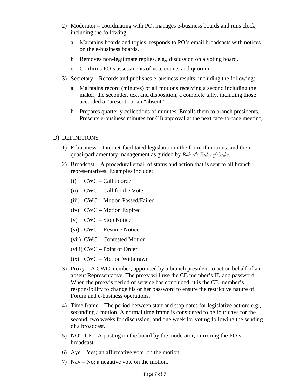- 2) Moderator coordinating with PO, manages e-business boards and runs clock, including the following:
	- a Maintains boards and topics; responds to PO's email broadcasts with notices on the e-business boards.
	- b Removes non-legitimate replies, e.g., discussion on a voting board.
	- c Confirms PO's assessments of vote counts and quorum.
- 3) Secretary Records and publishes e-business results, including the following:
	- a Maintains record (minutes) of all motions receiving a second including the maker, the seconder, text and disposition, a complete tally, including those accorded a "present" or an "absent."
	- b Prepares quarterly collections of minutes. Emails them to branch presidents. Presents e-business minutes for CB approval at the next face-to-face meeting.

#### D) DEFINITIONS

- 1) E-business Internet-facilitated legislation in the form of motions, and their quasi-parliamentary management as guided by *Robert's Rules of Order.*
- 2) Broadcast A procedural email of status and action that is sent to all branch representatives. Examples include:
	- (i) CWC Call to order
	- (ii) CWC Call for the Vote
	- (iii) CWC Motion Passed/Failed
	- (iv) CWC Motion Expired
	- (v) CWC Stop Notice
	- (vi) CWC Resume Notice
	- (vii) CWC Contested Motion
	- (viii) CWC Point of Order
	- (ix) CWC Motion Withdrawn
- 3) Proxy A CWC member, appointed by a branch president to act on behalf of an absent Representative. The proxy will use the CB member's ID and password. When the proxy's period of service has concluded, it is the CB member's responsibility to change his or her password to ensure the restrictive nature of Forum and e-business operations.
- 4) Time frame The period between start and stop dates for legislative action; e.g., seconding a motion. A normal time frame is considered to be four days for the second, two weeks for discussion, and one week for voting following the sending of a broadcast.
- 5) NOTICE A posting on the board by the moderator, mirroring the PO's broadcast.
- 6) Aye Yes; an affirmative vote on the motion.
- 7) Nay No; a negative vote on the motion.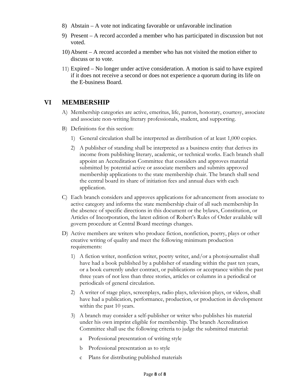- 8) Abstain A vote not indicating favorable or unfavorable inclination
- 9) Present A record accorded a member who has participated in discussion but not voted.
- 10) Absent A record accorded a member who has not visited the motion either to discuss or to vote.
- 11) Expired No longer under active consideration. A motion is said to have expired if it does not receive a second or does not experience a quorum during its life on the E-business Board.

## **VI MEMBERSHIP**

- A) Membership categories are active, emeritus, life, patron, honorary, courtesy, associate and associate non-writing literary professionals, student, and supporting.
- B) Definitions for this section:
	- 1) General circulation shall be interpreted as distribution of at least 1,000 copies.
	- 2) A publisher of standing shall be interpreted as a business entity that derives its income from publishing literary, academic, or technical works. Each branch shall appoint an Accreditation Committee that considers and approves material submitted by potential active or associate members and submits approved membership applications to the state membership chair. The branch shall send the central board its share of initiation fees and annual dues with each application.
- C) Each branch considers and approves applications for advancement from associate to active category and informs the state membership chair of all such membership In the absence of specific directions in this document or the bylaws, Constitution, or Articles of Incorporation, the latest edition of Robert's Rules of Order available will govern procedure at Central Board meetings changes.
- D) Active members are writers who produce fiction, nonfiction, poetry, plays or other creative writing of quality and meet the following minimum production requirements:
	- 1) A fiction writer, nonfiction writer, poetry writer, and/or a photojournalist shall have had a book published by a publisher of standing within the past ten years, or a book currently under contract, or publications or acceptance within the past three years of not less than three stories, articles or columns in a periodical or periodicals of general circulation.
	- 2) A writer of stage plays, screenplays, radio plays, television plays, or videos, shall have had a publication, performance, production, or production in development within the past 10 years.
	- 3) A branch may consider a self-publisher or writer who publishes his material under his own imprint eligible for membership. The branch Accreditation Committee shall use the following criteria to judge the submitted material:
		- a Professional presentation of writing style
		- b Professional presentation as to style
		- c Plans for distributing published materials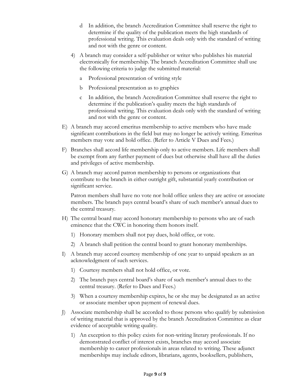- d In addition, the branch Accreditation Committee shall reserve the right to determine if the quality of the publication meets the high standards of professional writing. This evaluation deals only with the standard of writing and not with the genre or content.
- 4) A branch may consider a self-publisher or writer who publishes his material electronically for membership. The branch Accreditation Committee shall use the following criteria to judge the submitted material:
	- a Professional presentation of writing style
	- b Professional presentation as to graphics
	- c In addition, the branch Accreditation Committee shall reserve the right to determine if the publication's quality meets the high standards of professional writing. This evaluation deals only with the standard of writing and not with the genre or content.
- E) A branch may accord emeritus membership to active members who have made significant contributions in the field but may no longer be actively writing. Emeritus members may vote and hold office. (Refer to Article V Dues and Fees.)
- F) Branches shall accord life membership only to active members. Life members shall be exempt from any further payment of dues but otherwise shall have all the duties and privileges of active membership.
- G) A branch may accord patron membership to persons or organizations that contribute to the branch in either outright gift, substantial yearly contribution or significant service.

Patron members shall have no vote nor hold office unless they are active or associate members. The branch pays central board's share of such member's annual dues to the central treasury.

- H) The central board may accord honorary membership to persons who are of such eminence that the CWC in honoring them honors itself.
	- 1) Honorary members shall not pay dues, hold office, or vote.
	- 2) A branch shall petition the central board to grant honorary memberships.
- I) A branch may accord courtesy membership of one year to unpaid speakers as an acknowledgment of such services.
	- 1) Courtesy members shall not hold office, or vote.
	- 2) The branch pays central board's share of such member's annual dues to the central treasury. (Refer to Dues and Fees.)
	- 3) When a courtesy membership expires, he or she may be designated as an active or associate member upon payment of renewal dues.
- J) Associate membership shall be accorded to those persons who qualify by submission of writing material that is approved by the branch Accreditation Committee as clear evidence of acceptable writing quality.
	- 1) An exception to this policy exists for non-writing literary professionals. If no demonstrated conflict of interest exists, branches may accord associate membership to career professionals in areas related to writing. These adjunct memberships may include editors, librarians, agents, booksellers, publishers,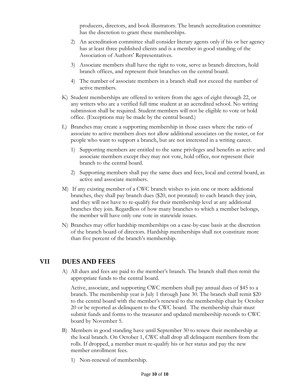producers, directors, and book illustrators. The branch accreditation committee has the discretion to grant these memberships.

- 2) An accreditation committee shall consider literary agents only if his or her agency has at least three published clients and is a member in good standing of the Association of Authors' Representatives.
- 3) Associate members shall have the right to vote, serve as branch directors, hold branch offices, and represent their branches on the central board.
- 4) The number of associate members in a branch shall not exceed the number of active members.
- K) Student memberships are offered to writers from the ages of eight through 22, or any writers who are a verified full time student at an accredited school. No writing submission shall be required. Student members will not be eligible to vote or hold office. (Exceptions may be made by the central board.)
- L) Branches may create a supporting membership in those cases where the ratio of associate to active members does not allow additional associates on the roster, or for people who want to support a branch, but are not interested in a writing career.
	- 1) Supporting members are entitled to the same privileges and benefits as active and associate members except they may not vote, hold office, nor represent their branch to the central board.
	- 2) Supporting members shall pay the same dues and fees, local and central board, as active and associate members.
- M) If any existing member of a CWC branch wishes to join one or more additional branches, they shall pay branch dues (\$20, not prorated) to each branch they join, and they will not have to re-qualify for their membership level at any additional branches they join. Regardless of how many branches to which a member belongs, the member will have only one vote in statewide issues.
- N) Branches may offer hardship memberships on a case-by-case basis at the discretion of the branch board of directors. Hardship memberships shall not constitute more than five percent of the branch's membership.

#### **VII DUES AND FEES**

A) All dues and fees are paid to the member's branch. The branch shall then remit the appropriate funds to the central board.

Active, associate, and supporting CWC members shall pay annual dues of \$45 to a branch. The membership year is July 1 through June 30. The branch shall remit \$20 to the central board with the member's renewal to the membership chair by October 20 or be reported as delinquent to the CWC board. The membership chair must submit funds and forms to the treasurer and updated membership records to CWC board by November 5.

- B) Members in good standing have until September 30 to renew their membership at the local branch. On October 1, CWC shall drop all delinquent members from the rolls. If dropped, a member must re-qualify his or her status and pay the new member enrollment fees.
	- 1) Non-renewal of membership.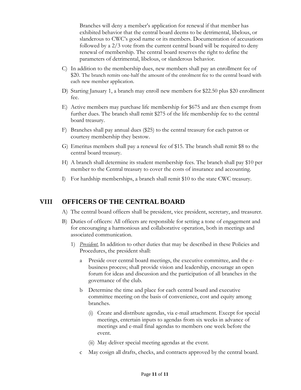Branches will deny a member's application for renewal if that member has exhibited behavior that the central board deems to be detrimental, libelous, or slanderous to CWC's good name or its members. Documentation of accusations followed by a 2/3 vote from the current central board will be required to deny renewal of membership. The central board reserves the right to define the parameters of detrimental, libelous, or slanderous behavior.

- C) In addition to the membership dues, new members shall pay an enrollment fee of \$20. The branch remits one-half the amount of the enrolment fee to the central board with each new member application.
- D) Starting January 1, a branch may enroll new members for \$22.50 plus \$20 enrollment fee.
- E) Active members may purchase life membership for \$675 and are then exempt from further dues. The branch shall remit \$275 of the life membership fee to the central board treasury.
- F) Branches shall pay annual dues (\$25) to the central treasury for each patron or courtesy membership they bestow.
- G) Emeritus members shall pay a renewal fee of \$15. The branch shall remit \$8 to the central board treasury.
- H) A branch shall determine its student membership fees. The branch shall pay \$10 per member to the Central treasury to cover the costs of insurance and accounting.
- I) For hardship memberships, a branch shall remit \$10 to the state CWC treasury.

#### **VIII OFFICERS OF THE CENTRAL BOARD**

- A) The central board officers shall be president, vice president, secretary, and treasurer.
- B) Duties of officers: All officers are responsible for setting a tone of engagement and for encouraging a harmonious and collaborative operation, both in meetings and associated communication.
	- 1) *President.* In addition to other duties that may be described in these Policies and Procedures, the president shall:
		- a Preside over central board meetings, the executive committee, and the ebusiness process; shall provide vision and leadership, encourage an open forum for ideas and discussion and the participation of all branches in the governance of the club.
		- b Determine the time and place for each central board and executive committee meeting on the basis of convenience, cost and equity among branches.
			- (i) Create and distribute agendas, via e-mail attachment. Except for special meetings, entertain inputs to agendas from six weeks in advance of meetings and e-mail final agendas to members one week before the event.
			- (ii) May deliver special meeting agendas at the event.
		- c May cosign all drafts, checks, and contracts approved by the central board.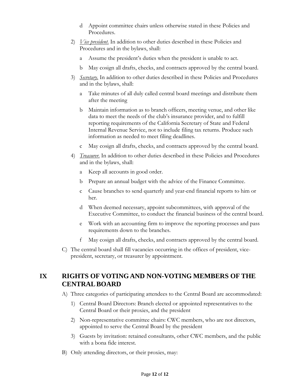- d Appoint committee chairs unless otherwise stated in these Policies and Procedures.
- 2) *Vice president*. In addition to other duties described in these Policies and Procedures and in the bylaws, shall:
	- a Assume the president's duties when the president is unable to act.
	- b May cosign all drafts, checks, and contracts approved by the central board.
- 3) *Secretary*. In addition to other duties described in these Policies and Procedures and in the bylaws, shall:
	- a Take minutes of all duly called central board meetings and distribute them after the meeting
	- b Maintain information as to branch officers, meeting venue, and other like data to meet the needs of the club's insurance provider, and to fulfill reporting requirements of the California Secretary of State and Federal Internal Revenue Service, not to include filing tax returns. Produce such information as needed to meet filing deadlines.
	- c May cosign all drafts, checks, and contracts approved by the central board.
- 4) *Treasurer*. In addition to other duties described in these Policies and Procedures and in the bylaws, shall:
	- a Keep all accounts in good order.
	- b Prepare an annual budget with the advice of the Finance Committee.
	- c Cause branches to send quarterly and year-end financial reports to him or her.
	- d When deemed necessary, appoint subcommittees, with approval of the Executive Committee, to conduct the financial business of the central board.
	- e Work with an accounting firm to improve the reporting processes and pass requirements down to the branches.
	- f May cosign all drafts, checks, and contracts approved by the central board.
- C) The central board shall fill vacancies occurring in the offices of president, vicepresident, secretary, or treasurer by appointment.

# **IX RIGHTS OF VOTING AND NON-VOTING MEMBERS OF THE CENTRALBOARD**

- A) Three categories of participating attendees to the Central Board are accommodated:
	- 1) Central Board Directors: Branch elected or appointed representatives to the Central Board or their proxies, and the president
	- 2) Non-representative committee chairs: CWC members, who are not directors, appointed to serve the Central Board by the president
	- 3) Guests by invitation: retained consultants, other CWC members, and the public with a bona fide interest.
- B) Only attending directors, or their proxies, may: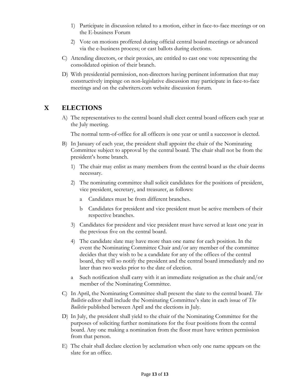- 1) Participate in discussion related to a motion, either in face-to-face meetings or on the E-business Forum
- 2) Vote on motions proffered during official central board meetings or advanced via the e-business process; or cast ballots during elections.
- C) Attending directors, or their proxies, are entitled to cast one vote representing the consolidated opinion of their branch.
- D) With presidential permission, non-directors having pertinent information that may constructively impinge on non-legislative discussion may participate in face-to-face meetings and on the calwriters.com website discussion forum.

# **X ELECTIONS**

A) The representatives to the central board shall elect central board officers each year at the July meeting.

The normal term-of-office for all officers is one year or until a successor is elected.

- B) In January of each year, the president shall appoint the chair of the Nominating Committee subject to approval by the central board. The chair shall not be from the president's home branch.
	- 1) The chair may enlist as many members from the central board as the chair deems necessary.
	- 2) The nominating committee shall solicit candidates for the positions of president, vice president, secretary, and treasurer, as follows:
		- a Candidates must be from different branches.
		- b Candidates for president and vice president must be active members of their respective branches.
	- 3) Candidates for president and vice president must have served at least one year in the previous five on the central board.
	- 4) The candidate slate may have more than one name for each position. In the event the Nominating Committee Chair and/or any member of the committee decides that they wish to be a candidate for any of the offices of the central board, they will so notify the president and the central board immediately and no later than two weeks prior to the date of election.
	- a Such notification shall carry with it an immediate resignation as the chair and/or member of the Nominating Committee.
- C) In April, the Nominating Committee shall present the slate to the central board. *The Bulletin* editor shall include the Nominating Committee's slate in each issue of *The Bulletin* published between April and the elections in July.
- D) In July, the president shall yield to the chair of the Nominating Committee for the purposes of soliciting further nominations for the four positions from the central board. Any one making a nomination from the floor must have written permission from that person.
- E) The chair shall declare election by acclamation when only one name appears on the slate for an office.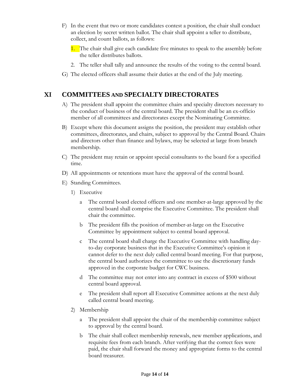- F) In the event that two or more candidates contest a position, the chair shall conduct an election by secret written ballot. The chair shall appoint a teller to distribute, collect, and count ballots, as follows:
	- 1. The chair shall give each candidate five minutes to speak to the assembly before the teller distributes ballots.
	- 2. The teller shall tally and announce the results of the voting to the central board.
- G) The elected officers shall assume their duties at the end of the July meeting.

## **XI COMMITTEES AND SPECIALTY DIRECTORATES**

- A) The president shall appoint the committee chairs and specialty directors necessary to the conduct of business of the central board. The president shall be an ex-officio member of all committees and directorates except the Nominating Committee.
- B) Except where this document assigns the position, the president may establish other committees, directorates, and chairs, subject to approval by the Central Board. Chairs and directors other than finance and bylaws, may be selected at large from branch membership.
- C) The president may retain or appoint special consultants to the board for a specified time.
- D) All appointments or retentions must have the approval of the central board.
- E) Standing Committees.
	- 1) Executive
		- a The central board elected officers and one member-at-large approved by the central board shall comprise the Executive Committee. The president shall chair the committee.
		- b The president fills the position of member-at-large on the Executive Committee by appointment subject to central board approval.
		- c The central board shall charge the Executive Committee with handling dayto-day corporate business that in the Executive Committee's opinion it cannot defer to the next duly called central board meeting. For that purpose, the central board authorizes the committee to use the discretionary funds approved in the corporate budget for CWC business.
		- d The committee may not enter into any contract in excess of \$500 without central board approval.
		- e The president shall report all Executive Committee actions at the next duly called central board meeting.
	- 2) Membership
		- a The president shall appoint the chair of the membership committee subject to approval by the central board.
		- b The chair shall collect membership renewals, new member applications, and requisite fees from each branch. After verifying that the correct fees were paid, the chair shall forward the money and appropriate forms to the central board treasurer.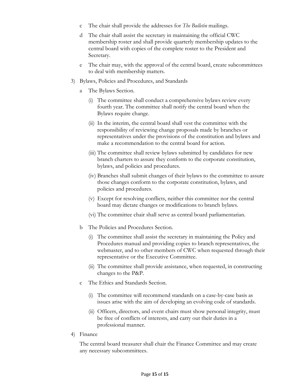- c The chair shall provide the addresses for *The Bulletin* mailings.
- d The chair shall assist the secretary in maintaining the official CWC membership roster and shall provide quarterly membership updates to the central board with copies of the complete roster to the President and Secretary.
- e The chair may, with the approval of the central board, create subcommittees to deal with membership matters.
- 3) Bylaws, Policies and Procedures, and Standards
	- The Bylaws Section.
		- (i) The committee shall conduct a comprehensive bylaws review every fourth year. The committee shall notify the central board when the Bylaws require change.
		- (ii) In the interim, the central board shall vest the committee with the responsibility of reviewing change proposals made by branches or representatives under the provisions of the constitution and bylaws and make a recommendation to the central board for action.
		- (iii) The committee shall review bylaws submitted by candidates for new branch charters to assure they conform to the corporate constitution, bylaws, and policies and procedures.
		- (iv) Branches shall submit changes of their bylaws to the committee to assure those changes conform to the corporate constitution, bylaws, and policies and procedures.
		- (v) Except for resolving conflicts, neither this committee nor the central board may dictate changes or modifications to branch bylaws.
		- (vi) The committee chair shall serve as central board parliamentarian.
	- b The Policies and Procedures Section.
		- (i) The committee shall assist the secretary in maintaining the Policy and Procedures manual and providing copies to branch representatives, the webmaster, and to other members of CWC when requested through their representative or the Executive Committee.
		- (ii) The committee shall provide assistance, when requested, in constructing changes to the P&P.
	- c The Ethics and Standards Section.
		- (i) The committee will recommend standards on a case-by-case basis as issues arise with the aim of developing an evolving code of standards.
		- (ii) Officers, directors, and event chairs must show personal integrity, must be free of conflicts of interests, and carry out their duties in a professional manner.
- 4) Finance

The central board treasurer shall chair the Finance Committee and may create any necessary subcommittees.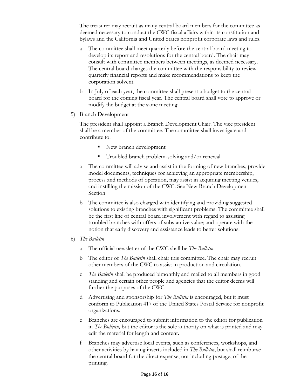The treasurer may recruit as many central board members for the committee as deemed necessary to conduct the CWC fiscal affairs within its constitution and bylaws and the California and United States nonprofit corporate laws and rules.

- a The committee shall meet quarterly before the central board meeting to develop its report and resolutions for the central board. The chair may consult with committee members between meetings, as deemed necessary. The central board charges the committee with the responsibility to review quarterly financial reports and make recommendations to keep the corporation solvent.
- b In July of each year, the committee shall present a budget to the central board for the coming fiscal year. The central board shall vote to approve or modify the budget at the same meeting.
- 5) Branch Development

The president shall appoint a Branch Development Chair. The vice president shall be a member of the committee. The committee shall investigate and contribute to:

- New branch development
- $\blacksquare$  Troubled branch problem-solving and/or renewal
- a The committee will advise and assist in the forming of new branches, provide model documents, techniques for achieving an appropriate membership, process and methods of operation, may assist in acquiring meeting venues, and instilling the mission of the CWC. See New Branch Development Section
- b The committee is also charged with identifying and providing suggested solutions to existing branches with significant problems. The committee shall be the first line of central board involvement with regard to assisting troubled branches with offers of substantive value; and operate with the notion that early discovery and assistance leads to better solutions.
- 6) *The Bulletin*
	- a The official newsletter of the CWC shall be *The Bulletin*.
	- b The editor of *The Bulletin* shall chair this committee. The chair may recruit other members of the CWC to assist in production and circulation.
	- c *The Bulletin* shall be produced bimonthly and mailed to all members in good standing and certain other people and agencies that the editor deems will further the purposes of the CWC.
	- d Advertising and sponsorship for *The Bulletin* is encouraged, but it must conform to Publication 417 of the United States Postal Service for nonprofit organizations.
	- e Branches are encouraged to submit information to the editor for publication in *The Bulletin,* but the editor is the sole authority on what is printed and may edit the material for length and content.
	- f Branches may advertise local events, such as conferences, workshops, and other activities by having inserts included in *The Bulletin*, but shall reimburse the central board for the direct expense, not including postage, of the printing.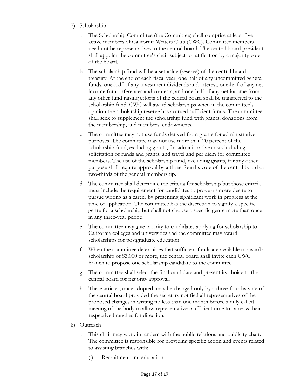- 7) Scholarship
	- a The Scholarship Committee (the Committee) shall comprise at least five active members of California Writers Club (CWC). Committee members need not be representatives to the central board. The central board president shall appoint the committee's chair subject to ratification by a majority vote of the board.
	- b The scholarship fund will be a set-aside (reserve) of the central board treasury. At the end of each fiscal year, one-half of any uncommitted general funds, one-half of any investment dividends and interest, one-half of any net income for conferences and contests, and one-half of any net income from any other fund raising efforts of the central board shall be transferred to the scholarship fund. CWC will award scholarships when in the committee's opinion the scholarship reserve has accrued sufficient funds. The committee shall seek to supplement the scholarship fund with grants, donations from the membership, and members' endowments.
	- c The committee may not use funds derived from grants for administrative purposes. The committee may not use more than 20 percent of the scholarship fund, excluding grants, for administrative costs including solicitation of funds and grants, and travel and per diem for committee members. The use of the scholarship fund, excluding grants, for any other purpose shall require approval by a three-fourths vote of the central board or two-thirds of the general membership.
	- d The committee shall determine the criteria for scholarship but those criteria must include the requirement for candidates to prove a sincere desire to pursue writing as a career by presenting significant work in progress at the time of application. The committee has the discretion to signify a specific genre for a scholarship but shall not choose a specific genre more than once in any three-year period.
	- e The committee may give priority to candidates applying for scholarship to California colleges and universities and the committee may award scholarships for postgraduate education.
	- f When the committee determines that sufficient funds are available to award a scholarship of \$3,000 or more, the central board shall invite each CWC branch to propose one scholarship candidate to the committee.
	- g The committee shall select the final candidate and present its choice to the central board for majority approval.
	- h These articles, once adopted, may be changed only by a three-fourths vote of the central board provided the secretary notified all representatives of the proposed changes in writing no less than one month before a duly called meeting of the body to allow representatives sufficient time to canvass their respective branches for direction.
- 8) Outreach
	- a This chair may work in tandem with the public relations and publicity chair. The committee is responsible for providing specific action and events related to assisting branches with:
		- (i) Recruitment and education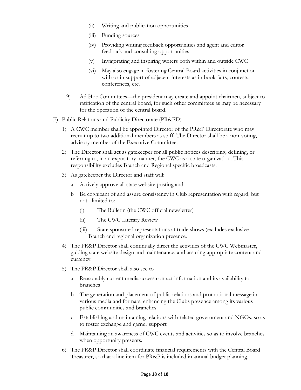- (ii) Writing and publication opportunities
- (iii) Funding sources
- (iv) Providing writing feedback opportunities and agent and editor feedback and consulting opportunities
- (v) Invigorating and inspiring writers both within and outside CWC
- (vi) May also engage in fostering Central Board activities in conjunction with or in support of adjacent interests as in book fairs, contests, conferences, etc.
- 9) Ad Hoc Committees—the president may create and appoint chairmen, subject to ratification of the central board, for such other committees as may be necessary for the operation of the central board.
- F) Public Relations and Publicity Directorate (PR&PD)
	- 1) A CWC member shall be appointed Director of the PR&P Directorate who may recruit up to two additional members as staff. The Director shall be a non-voting, advisory member of the Executive Committee.
	- 2) The Director shall act as gatekeeper for all public notices describing, defining, or referring to, in an expository manner, the CWC as a state organization. This responsibility excludes Branch and Regional specific broadcasts.
	- 3) As gatekeeper the Director and staff will:
		- a Actively approve all state website posting and
		- b Be cognizant of and assure consistency in Club representation with regard, but not limited to:
			- (i) The Bulletin (the CWC official newsletter)
			- (ii) The CWC Literary Review
			- (iii) State sponsored representations at trade shows (excludes exclusive Branch and regional organization presence.
	- 4) The PR&P Director shall continually direct the activities of the CWC Webmaster, guiding state website design and maintenance, and assuring appropriate content and currency.
	- 5) The PR&P Director shall also see to
		- a Reasonably current media-access contact information and its availability to branches
		- b The generation and placement of public relations and promotional message in various media and formats, enhancing the Clubs presence among its various public communities and branches
		- c Establishing and maintaining relations with related government and NGOs, so as to foster exchange and garner support
		- d Maintaining an awareness of CWC events and activities so as to involve branches when opportunity presents.
	- 6) The PR&P Director shall coordinate financial requirements with the Central Board Treasurer, so that a line item for PR&P is included in annual budget planning.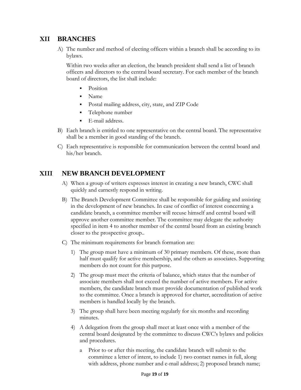## **XII BRANCHES**

A) The number and method of electing officers within a branch shall be according to its bylaws.

Within two weeks after an election, the branch president shall send a list of branch officers and directors to the central board secretary. For each member of the branch board of directors, the list shall include:

- Position
- Name
- Postal mailing address, city, state, and ZIP Code
- Telephone number
- E-mail address.
- B) Each branch is entitled to one representative on the central board. The representative shall be a member in good standing of the branch.
- C) Each representative is responsible for communication between the central board and his/her branch.

# **XIII NEW BRANCH DEVELOPMENT**

- A) When a group of writers expresses interest in creating a new branch, CWC shall quickly and earnestly respond in writing.
- B) The Branch Development Committee shall be responsible for guiding and assisting in the development of new branches. In case of conflict of interest concerning a candidate branch, a committee member will recuse himself and central board will approve another committee member. The committee may delegate the authority specified in item 4 to another member of the central board from an existing branch closer to the prospective group..
- C) The minimum requirements for branch formation are:
	- 1) The group must have a minimum of 30 primary members. Of these, more than half must qualify for active membership, and the others as associates. Supporting members do not count for this purpose.
	- 2) The group must meet the criteria of balance, which states that the number of associate members shall not exceed the number of active members. For active members, the candidate branch must provide documentation of published work to the committee. Once a branch is approved for charter, accreditation of active members is handled locally by the branch.
	- 3) The group shall have been meeting regularly for six months and recording minutes.
	- 4) A delegation from the group shall meet at least once with a member of the central board designated by the committee to discuss CWC's bylaws and policies and procedures.
		- a Prior to or after this meeting, the candidate branch will submit to the committee a letter of intent, to include 1) two contact names in full, along with address, phone number and e-mail address; 2) proposed branch name;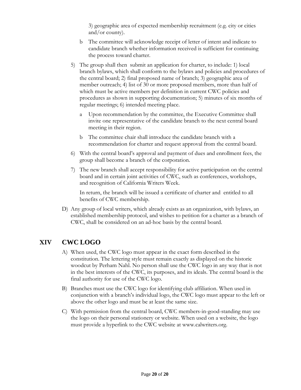3) geographic area of expected membership recruitment (e.g. city or cities and/or county).

- b The committee will acknowledge receipt of letter of intent and indicate to candidate branch whether information received is sufficient for continuing the process toward charter.
- 5) The group shall then submit an application for charter, to include: 1) local branch bylaws, which shall conform to the bylaws and policies and procedures of the central board; 2) final proposed name of branch; 3) geographic area of member outreach; 4) list of 30 or more proposed members, more than half of which must be active members per definition in current CWC policies and procedures as shown in supporting documentation; 5) minutes of six months of regular meetings; 6) intended meeting place.
	- a Upon recommendation by the committee, the Executive Committee shall invite one representative of the candidate branch to the next central board meeting in their region.
	- b The committee chair shall introduce the candidate branch with a recommendation for charter and request approval from the central board.
- 6) With the central board's approval and payment of dues and enrollment fees, the group shall become a branch of the corporation.
- 7) The new branch shall accept responsibility for active participation on the central board and in certain joint activities of CWC, such as conferences, workshops, and recognition of California Writers Week.

In return, the branch will be issued a certificate of charter and entitled to all benefits of CWC membership.

D) Any group of local writers, which already exists as an organization, with bylaws, an established membership protocol, and wishes to petition for a charter as a branch of CWC, shall be considered on an ad-hoc basis by the central board.

#### **XIV CWC LOGO**

- A) When used, the CWC logo must appear in the exact form described in the constitution. The lettering style must remain exactly as displayed on the historic woodcut by Perham Nahl. No person shall use the CWC logo in any way that is not in the best interests of the CWC, its purposes, and its ideals. The central board is the final authority for use of the CWC logo.
- B) Branches must use the CWC logo for identifying club affiliation. When used in conjunction with a branch's individual logo, the CWC logo must appear to the left or above the other logo and must be at least the same size.
- C) With permission from the central board, CWC members-in-good-standing may use the logo on their personal stationery or website. When used on a website, the logo must provide a hyperlink to the CWC website at www.calwriters.org.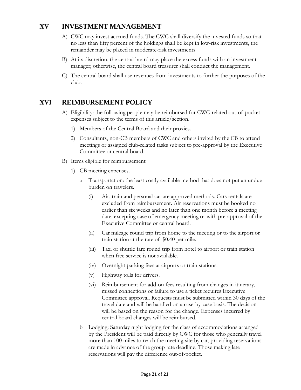# **XV INVESTMENT MANAGEMENT**

- A) CWC may invest accrued funds. The CWC shall diversify the invested funds so that no less than fifty percent of the holdings shall be kept in low-risk investments, the remainder may be placed in moderate-risk investments
- B) At its discretion, the central board may place the excess funds with an investment manager; otherwise, the central board treasurer shall conduct the management.
- C) The central board shall use revenues from investments to further the purposes of the club.

# **XVI REIMBURSEMENT POLICY**

- A) Eligibility: the following people may be reimbursed for CWC-related out-of-pocket expenses subject to the terms of this article/section.
	- 1) Members of the Central Board and their proxies.
	- 2) Consultants, non-CB members of CWC and others invited by the CB to attend meetings or assigned club-related tasks subject to pre-approval by the Executive Committee or central board.
- B) Items eligible for reimbursement
	- 1) CB meeting expenses.
		- a Transportation: the least costly available method that does not put an undue burden on travelers.
			- (i) Air, train and personal car are approved methods. Cars rentals are excluded from reimbursement. Air reservations must be booked no earlier than six weeks and no later than one month before a meeting date, excepting case of emergency meeting or with pre-approval of the Executive Committee or central board.
			- (ii) Car mileage round trip from home to the meeting or to the airport or train station at the rate of \$0.40 per mile.
			- (iii) Taxi or shuttle fare round trip from hotel to airport or train station when free service is not available.
			- (iv) Overnight parking fees at airports or train stations.
			- (v) Highway tolls for drivers.
			- (vi) Reimbursement for add-on fees resulting from changes in itinerary, missed connections or failure to use a ticket requires Executive Committee approval. Requests must be submitted within 30 days of the travel date and will be handled on a case-by-case basis. The decision will be based on the reason for the change. Expenses incurred by central board changes will be reimbursed.
		- b Lodging: Saturday night lodging for the class of accommodations arranged by the President will be paid directly by CWC for those who generally travel more than 100 miles to reach the meeting site by car, providing reservations are made in advance of the group rate deadline. Those making late reservations will pay the difference out-of-pocket.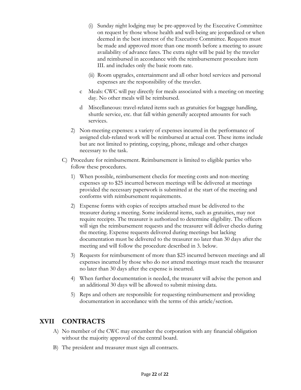- (i) Sunday night lodging may be pre-approved by the Executive Committee on request by those whose health and well-being are jeopardized or when deemed in the best interest of the Executive Committee. Requests must be made and approved more than one month before a meeting to assure availability of advance fares. The extra night will be paid by the traveler and reimbursed in accordance with the reimbursement procedure item III. and includes only the basic room rate.
- (ii) Room upgrades, entertainment and all other hotel services and personal expenses are the responsibility of the traveler.
- c Meals: CWC will pay directly for meals associated with a meeting on meeting day. No other meals will be reimbursed.
- d Miscellaneous: travel-related items such as gratuities for baggage handling, shuttle service, etc. that fall within generally accepted amounts for such services.
- 2) Non-meeting expenses: a variety of expenses incurred in the performance of assigned club-related work will be reimbursed at actual cost. These items include but are not limited to printing, copying, phone, mileage and other charges necessary to the task.
- C) Procedure for reimbursement. Reimbursement is limited to eligible parties who follow these procedures.
	- 1) When possible, reimbursement checks for meeting costs and non-meeting expenses up to \$25 incurred between meetings will be delivered at meetings provided the necessary paperwork is submitted at the start of the meeting and conforms with reimbursement requirements.
	- 2) Expense forms with copies of receipts attached must be delivered to the treasurer during a meeting. Some incidental items, such as gratuities, may not require receipts. The treasurer is authorized to determine eligibility. The officers will sign the reimbursement requests and the treasurer will deliver checks during the meeting. Expense requests delivered during meetings but lacking documentation must be delivered to the treasurer no later than 30 days after the meeting and will follow the procedure described in 3. below.
	- 3) Requests for reimbursement of more than \$25 incurred between meetings and all expenses incurred by those who do not attend meetings must reach the treasurer no later than 30 days after the expense is incurred.
	- 4) When further documentation is needed, the treasurer will advise the person and an additional 30 days will be allowed to submit missing data.
	- 5) Reps and others are responsible for requesting reimbursement and providing documentation in accordance with the terms of this article/section.

#### **XVII CONTRACTS**

- A) No member of the CWC may encumber the corporation with any financial obligation without the majority approval of the central board.
- B) The president and treasurer must sign all contracts.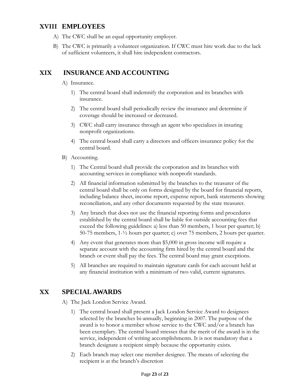# **XVIII EMPLOYEES**

- A) The CWC shall be an equal opportunity employer.
- B) The CWC is primarily a volunteer organization. If CWC must hire work due to the lack of sufficient volunteers, it shall hire independent contractors.

# **XIX INSURANCE AND ACCOUNTING**

- A) Insurance.
	- 1) The central board shall indemnify the corporation and its branches with insurance.
	- 2) The central board shall periodically review the insurance and determine if coverage should be increased or decreased.
	- 3) CWC shall carry insurance through an agent who specializes in insuring nonprofit organizations.
	- 4) The central board shall carry a directors and officers insurance policy for the central board.
- B) Accounting.
	- 1) The Central board shall provide the corporation and its branches with accounting services in compliance with nonprofit standards.
	- 2) All financial information submitted by the branches to the treasurer of the central board shall be only on forms designed by the board for financial reports, including balance sheet, income report, expense report, bank statements showing reconciliation, and any other documents requested by the state treasurer.
	- 3) Any branch that does not use the financial reporting forms and procedures established by the central board shall be liable for outside accounting fees that exceed the following guidelines: a) less than 50 members, 1 hour per quarter; b) 50-75 members, 1-½ hours per quarter; c) over 75 members, 2 hours per quarter.
	- 4) Any event that generates more than \$5,000 in gross income will require a separate account with the accounting firm hired by the central board and the branch or event shall pay the fees. The central board may grant exceptions.
	- 5) All branches are required to maintain signature cards for each account held at any financial institution with a minimum of two valid, current signatures.

# **XX SPECIAL AWARDS**

A) The Jack London Service Award.

- 1) The central board shall present a Jack London Service Award to designees selected by the branches bi-annually, beginning in 2007. The purpose of the award is to honor a member whose service to the CWC and/or a branch has been exemplary. The central board stresses that the merit of the award is in the service, independent of writing accomplishments. It is not mandatory that a branch designate a recipient simply because the opportunity exists.
- 2) Each branch may select one member designee. The means of selecting the recipient is at the branch's discretion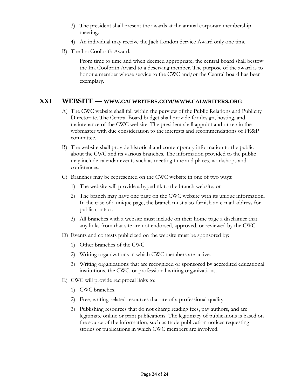- 3) The president shall present the awards at the annual corporate membership meeting.
- 4) An individual may receive the Jack London Service Award only one time.
- B) The Ina Coolbrith Award.

From time to time and when deemed appropriate, the central board shall bestow the Ina Coolbrith Award to a deserving member. The purpose of the award is to honor a member whose service to the CWC and/or the Central board has been exemplary.

#### **XXI WEBSITE — WWW.CALWRITERS.COM/WWW.CALWRITERS.ORG**

- A) The CWC website shall fall within the purview of the Public Relations and Publicity Directorate. The Central Board budget shall provide for design, hosting, and maintenance of the CWC website. The president shall appoint and or retain the webmaster with due consideration to the interests and recommendations of PR&P committee.
- B) The website shall provide historical and contemporary information to the public about the CWC and its various branches. The information provided to the public may include calendar events such as meeting time and places, workshops and conferences.
- C) Branches may be represented on the CWC website in one of two ways:
	- 1) The website will provide a hyperlink to the branch website, or
	- 2) The branch may have one page on the CWC website with its unique information. In the case of a unique page, the branch must also furnish an e-mail address for public contact.
	- 3) All branches with a website must include on their home page a disclaimer that any links from that site are not endorsed, approved, or reviewed by the CWC.
- D) Events and contests publicized on the website must be sponsored by:
	- 1) Other branches of the CWC
	- 2) Writing organizations in which CWC members are active.
	- 3) Writing organizations that are recognized or sponsored by accredited educational institutions, the CWC, or professional writing organizations.
- E) CWC will provide reciprocal links to:
	- 1) CWC branches.
	- 2) Free, writing-related resources that are of a professional quality.
	- 3) Publishing resources that do not charge reading fees, pay authors, and are legitimate online or print publications. The legitimacy of publications is based on the source of the information, such as trade-publication notices requesting stories or publications in which CWC members are involved.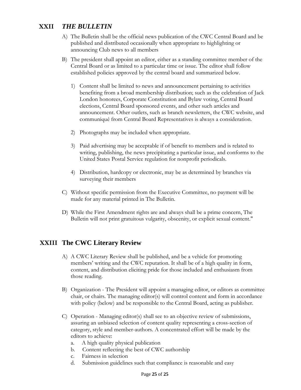# **XXII** *THE BULLETIN*

- A) The Bulletin shall be the official news publication of the CWC Central Board and be published and distributed occasionally when appropriate to highlighting or announcing Club news to all members
- B) The president shall appoint an editor, either as a standing committee member of the Central Board or as limited to a particular time or issue. The editor shall follow established policies approved by the central board and summarized below.
	- 1) Content shall be limited to news and announcement pertaining to activities benefiting from a broad membership distribution; such as the celebration of Jack London honorees, Corporate Constitution and Bylaw voting, Central Board elections, Central Board sponsored events, and other such articles and announcement. Other outlets, such as branch newsletters, the CWC website, and communiqué from Central Board Representatives is always a consideration.
	- 2) Photographs may be included when appropriate.
	- 3) Paid advertising may be acceptable if of benefit to members and is related to writing, publishing, the news precipitating a particular issue, and conforms to the United States Postal Service regulation for nonprofit periodicals.
	- 4) Distribution, hardcopy or electronic, may be as determined by branches via surveying their members
- C) Without specific permission from the Executive Committee, no payment will be made for any material printed in The Bulletin.
- D) While the First Amendment rights are and always shall be a prime concern, The Bulletin will not print gratuitous vulgarity, obscenity, or explicit sexual content."

## **XXIII The CWC Literary Review**

- A) A CWC Literary Review shall be published, and be a vehicle for promoting members' writing and the CWC reputation. It shall be of a high quality in form, content, and distribution eliciting pride for those included and enthusiasm from those reading.
- B) Organization The President will appoint a managing editor, or editors as committee chair, or chairs. The managing editor(s) will control content and form in accordance with policy (below) and be responsible to the Central Board, acting as publisher.
- C) Operation Managing editor(s) shall see to an objective review of submissions, assuring an unbiased selection of content quality representing a cross-section of category, style and member-authors. A concentrated effort will be made by the editors to achieve:
	- a. A high quality physical publication
	- b. Content reflecting the best of CWC authorship
	- c. Fairness in selection
	- d. Submission guidelines such that compliance is reasonable and easy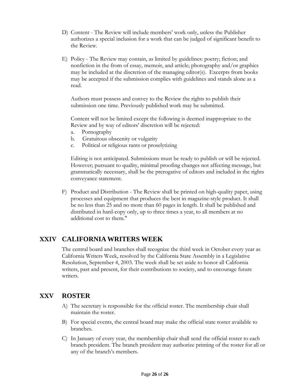- D) Content The Review will include members' work only, unless the Publisher authorizes a special inclusion for a work that can be judged of significant benefit to the Review.
- E) Policy The Review may contain, as limited by guidelines: poetry; fiction; and nonfiction in the from of essay, memoir, and article; photography and/or graphics may be included at the discretion of the managing editor(s). Excerpts from books may be accepted if the submission complies with guidelines and stands alone as a read.

Authors must possess and convey to the Review the rights to publish their submission one time. Previously published work may be submitted.

Content will not be limited except the following is deemed inappropriate to the Review and by way of editors' discretion will be rejected:

- a. Pornography
- b. Gratuitous obscenity or vulgarity
- c. Political or religious rants or proselytizing

Editing is not anticipated. Submissions must be ready to publish or will be rejected. However; pursuant to quality, minimal proofing changes not affecting message, but grammatically necessary, shall be the prerogative of editors and included in the rights conveyance statement.

F) Product and Distribution - The Review shall be printed on high-quality paper, using processes and equipment that produces the best in magazine-style product. It shall be no less than 25 and no more than 60 pages in length. It shall be published and distributed in hard-copy only, up to three times a year, to all members at no additional cost to them."

## **XXIV CALIFORNIA WRITERS WEEK**

The central board and branches shall recognize the third week in October every year as California Writers Week, resolved by the California State Assembly in a Legislative Resolution, September 4, 2003. The week shall be set aside to honor all California writers, past and present, for their contributions to society, and to encourage future writers.

#### **XXV ROSTER**

- A) The secretary is responsible for the official roster. The membership chair shall maintain the roster.
- B) For special events, the central board may make the official state roster available to branches.
- C) In January of every year, the membership chair shall send the official roster to each branch president. The branch president may authorize printing of the roster for all or any of the branch's members.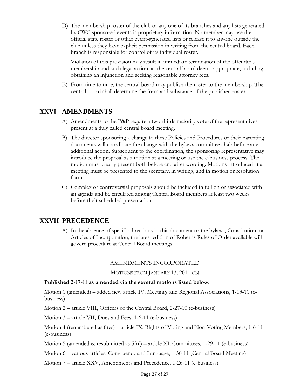D) The membership roster of the club or any one of its branches and any lists generated by CWC sponsored events is proprietary information. No member may use the official state roster or other event-generated lists or release it to anyone outside the club unless they have explicit permission in writing from the central board. Each branch is responsible for control of its individual roster.

Violation of this provision may result in immediate termination of the offender's membership and such legal action, as the central board deems appropriate, including obtaining an injunction and seeking reasonable attorney fees.

E) From time to time, the central board may publish the roster to the membership. The central board shall determine the form and substance of the published roster.

### **XXVI AMENDMENTS**

- A) Amendments to the P&P require a two-thirds majority vote of the representatives present at a duly called central board meeting.
- B) The director sponsoring a change to these Policies and Procedures or their parenting documents will coordinate the change with the bylaws committee chair before any additional action. Subsequent to the coordination, the sponsoring representative may introduce the proposal as a motion at a meeting or use the e-business process. The motion must clearly present both before and after wording. Motions introduced at a meeting must be presented to the secretary, in writing, and in motion or resolution form.
- C) Complex or controversial proposals should be included in full on or associated with an agenda and be circulated among Central Board members at least two weeks before their scheduled presentation.

## **XXVII PRECEDENCE**

A) In the absence of specific directions in this document or the bylaws, Constitution, or Articles of Incorporation, the latest edition of Robert's Rules of Order available will govern procedure at Central Board meetings

#### AMENDMENTS INCORPORATED

#### MOTIONS FROM JANUARY 13, 2011 ON

#### **Published 2-17-11 as amended via the several motions listed below:**

Motion 1 (amended) – added new article IV, Meetings and Regional Associations, 1-13-11 (ebusiness)

Motion 2 – article VIII, Officers of the Central Board, 2-27-10 (e-business)

Motion 3 – article VII, Dues and Fees, 1-6-11 (e-business)

Motion 4 (renumbered as 8res) – article IX, Rights of Voting and Non-Voting Members, 1-6-11 (e-business)

Motion 5 (amended & resubmitted as 5fnl) – article XI, Committees, 1-29-11 (e-business)

Motion 6 – various articles, Congruency and Language, 1-30-11 (Central Board Meeting)

Motion 7 – article XXV, Amendments and Precedence, 1-26-11 (e-business)